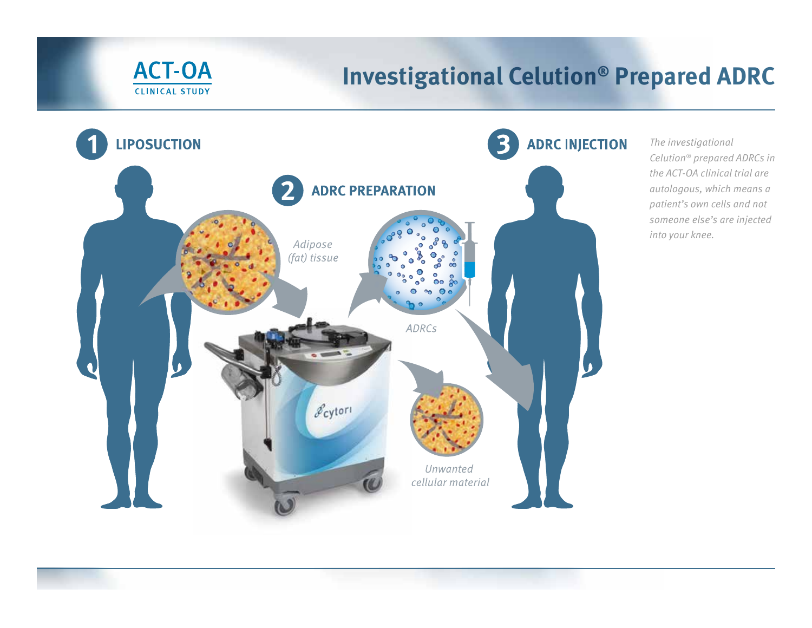

## **Investigational Celution® Prepared ADRC**



The investigational Celution® prepared ADRCs in the ACT-OA clinical trial are autologous, which means a patient's own cells and not someone else's are injected into your knee.